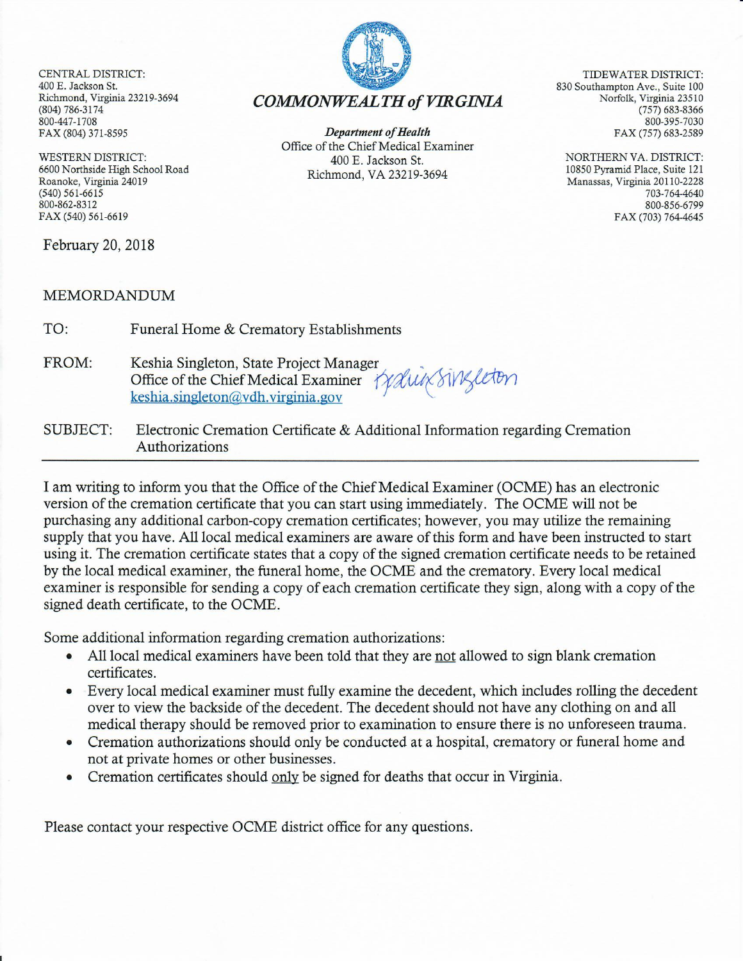**CENTRAL DISTRICT:** 400 E. Jackson St. Richmond, Virginia 23219-3694 (804) 786-3174 800-447-1708 FAX (804) 371-8595

**WESTERN DISTRICT:** 6600 Northside High School Road Roanoke, Virginia 24019  $(540) 561 - 6615$ 800-862-8312 FAX (540) 561-6619

February 20, 2018

## **MEMORDANDUM**

TO: Funeral Home & Crematory Establishments

- FROM: Keshia Singleton, State Project Manager Office of the Chief Medical Examiner Ky Luis Singleton keshia.singleton@vdh.virginia.gov
- **SUBJECT:** Electronic Cremation Certificate & Additional Information regarding Cremation Authorizations

I am writing to inform you that the Office of the Chief Medical Examiner (OCME) has an electronic version of the cremation certificate that you can start using immediately. The OCME will not be purchasing any additional carbon-copy cremation certificates; however, you may utilize the remaining supply that you have. All local medical examiners are aware of this form and have been instructed to start using it. The cremation certificate states that a copy of the signed cremation certificate needs to be retained by the local medical examiner, the funeral home, the OCME and the crematory. Every local medical examiner is responsible for sending a copy of each cremation certificate they sign, along with a copy of the signed death certificate, to the OCME.

Some additional information regarding cremation authorizations:

- All local medical examiners have been told that they are not allowed to sign blank cremation certificates.
- Every local medical examiner must fully examine the decedent, which includes rolling the decedent over to view the backside of the decedent. The decedent should not have any clothing on and all medical therapy should be removed prior to examination to ensure there is no unforeseen trauma.
- Cremation authorizations should only be conducted at a hospital, crematory or funeral home and not at private homes or other businesses.
- Cremation certificates should only be signed for deaths that occur in Virginia.

Please contact your respective OCME district office for any questions.

**COMMONWEALTH of VIRGINIA** 

TIDEWATER DISTRICT: 830 Southampton Ave., Suite 100 Norfolk, Virginia 23510  $(757) 683 - 8366$ 800-395-7030 FAX (757) 683-2589

> NORTHERN VA. DISTRICT: 10850 Pyramid Place, Suite 121 Manassas, Virginia 20110-2228 703-764-4640 800-856-6799 FAX (703) 764-4645



**Department of Health** 

Office of the Chief Medical Examiner

400 E. Jackson St.

Richmond, VA 23219-3694